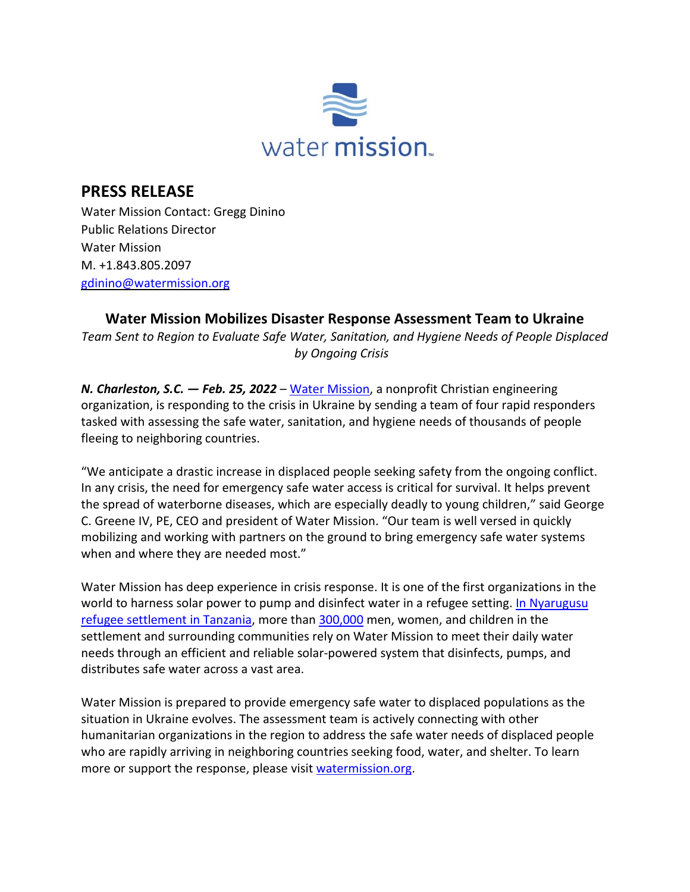

## **PRESS RELEASE**

Water Mission Contact: Gregg Dinino Public Relations Director Water Mission M. +1.843.805.2097 [gdinino@watermission.org](mailto:gdinino@watermission.org)

## **Water Mission Mobilizes Disaster Response Assessment Team to Ukraine**

*Team Sent to Region to Evaluate Safe Water, Sanitation, and Hygiene Needs of People Displaced by Ongoing Crisis* 

*N. Charleston, S.C. — Feb. 25, 2022 –* [Water Mission,](http://watermission.org/) a nonprofit Christian engineering organization, is responding to the crisis in Ukraine by sending a team of four rapid responders tasked with assessing the safe water, sanitation, and hygiene needs of thousands of people fleeing to neighboring countries.

"We anticipate a drastic increase in displaced people seeking safety from the ongoing conflict. In any crisis, the need for emergency safe water access is critical for survival. It helps prevent the spread of waterborne diseases, which are especially deadly to young children," said George C. Greene IV, PE, CEO and president of Water Mission. "Our team is well versed in quickly mobilizing and working with partners on the ground to bring emergency safe water systems when and where they are needed most."

Water Mission has deep experience in crisis response. It is one of the first organizations in the world to harness solar power to pump and disinfect water in a refugee setting. In Nyarugusu [refugee settlement in Tanzania,](https://watermission.org/news/safe-water-for-all/) more than [300,000](https://watermission.org/news/313k-refugees/) men, women, and children in the settlement and surrounding communities rely on Water Mission to meet their daily water needs through an efficient and reliable solar-powered system that disinfects, pumps, and distributes safe water across a vast area.

Water Mission is prepared to provide emergency safe water to displaced populations as the situation in Ukraine evolves. The assessment team is actively connecting with other humanitarian organizations in the region to address the safe water needs of displaced people who are rapidly arriving in neighboring countries seeking food, water, and shelter. To learn more or support the response, please visit [watermission.org.](https://watermission.org/)